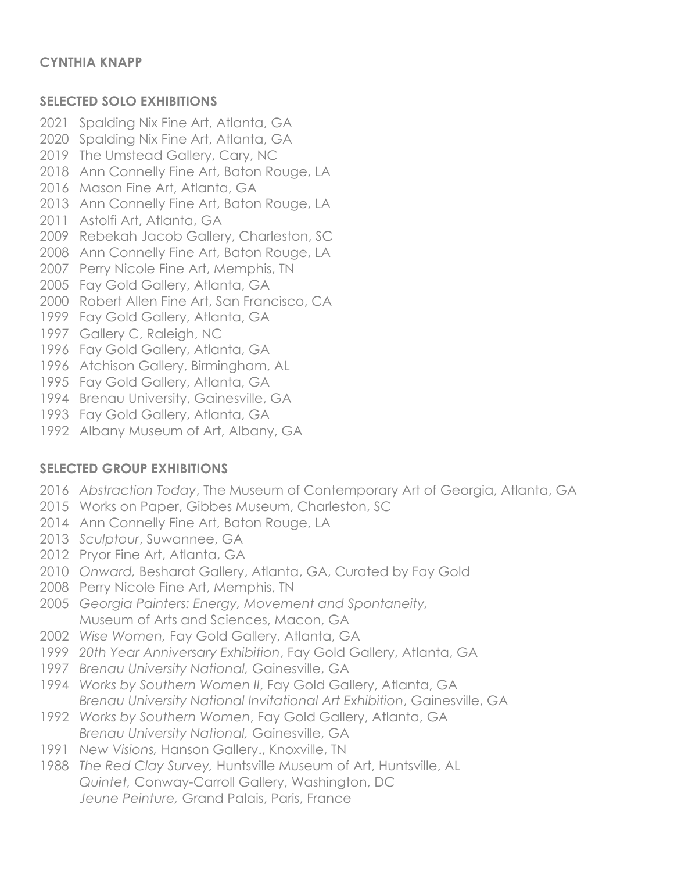# **SELECTED SOLO EXHIBITIONS**

- Spalding Nix Fine Art, Atlanta, GA
- Spalding Nix Fine Art, Atlanta, GA
- The Umstead Gallery, Cary, NC
- Ann Connelly Fine Art, Baton Rouge, LA
- Mason Fine Art, Atlanta, GA
- Ann Connelly Fine Art, Baton Rouge, LA
- Astolfi Art, Atlanta, GA
- Rebekah Jacob Gallery, Charleston, SC
- Ann Connelly Fine Art, Baton Rouge, LA
- Perry Nicole Fine Art, Memphis, TN
- Fay Gold Gallery, Atlanta, GA
- Robert Allen Fine Art, San Francisco, CA
- Fay Gold Gallery, Atlanta, GA
- Gallery C, Raleigh, NC
- Fay Gold Gallery, Atlanta, GA
- 1996 Atchison Gallery, Birmingham, AL
- Fay Gold Gallery, Atlanta, GA
- Brenau University, Gainesville, GA
- Fay Gold Gallery, Atlanta, GA
- Albany Museum of Art, Albany, GA

# **SELECTED GROUP EXHIBITIONS**

- *Abstraction Today*, The Museum of Contemporary Art of Georgia, Atlanta, GA
- Works on Paper, Gibbes Museum, Charleston, SC
- Ann Connelly Fine Art, Baton Rouge, LA
- *Sculptour*, Suwannee, GA
- Pryor Fine Art, Atlanta, GA
- *Onward,* Besharat Gallery, Atlanta, GA, Curated by Fay Gold
- Perry Nicole Fine Art, Memphis, TN
- *Georgia Painters: Energy, Movement and Spontaneity,* Museum of Arts and Sciences, Macon, GA
- *Wise Women,* Fay Gold Gallery, Atlanta, GA
- *20th Year Anniversary Exhibition*, Fay Gold Gallery, Atlanta, GA
- *Brenau University National,* Gainesville, GA
- *Works by Southern Women II*, Fay Gold Gallery, Atlanta, GA *Brenau University National Invitational Art Exhibition*, Gainesville, GA
- *Works by Southern Women*, Fay Gold Gallery, Atlanta, GA *Brenau University National,* Gainesville, GA
- *New Visions,* Hanson Gallery., Knoxville, TN
- *The Red Clay Survey,* Huntsville Museum of Art, Huntsville, AL *Quintet,* Conway-Carroll Gallery, Washington, DC *Jeune Peinture,* Grand Palais, Paris, France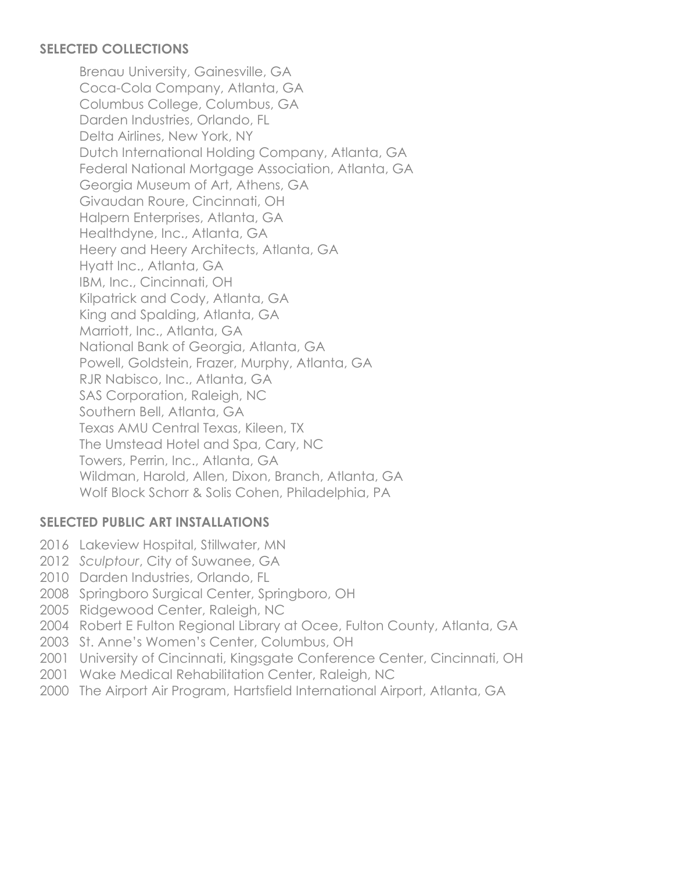#### **SELECTED COLLECTIONS**

Brenau University, Gainesville, GA Coca-Cola Company, Atlanta, GA Columbus College, Columbus, GA Darden Industries, Orlando, FL Delta Airlines, New York, NY Dutch International Holding Company, Atlanta, GA Federal National Mortgage Association, Atlanta, GA Georgia Museum of Art, Athens, GA Givaudan Roure, Cincinnati, OH Halpern Enterprises, Atlanta, GA Healthdyne, Inc., Atlanta, GA Heery and Heery Architects, Atlanta, GA Hyatt Inc., Atlanta, GA IBM, Inc., Cincinnati, OH Kilpatrick and Cody, Atlanta, GA King and Spalding, Atlanta, GA Marriott, Inc., Atlanta, GA National Bank of Georgia, Atlanta, GA Powell, Goldstein, Frazer, Murphy, Atlanta, GA RJR Nabisco, Inc., Atlanta, GA SAS Corporation, Raleigh, NC Southern Bell, Atlanta, GA Texas AMU Central Texas, Kileen, TX The Umstead Hotel and Spa, Cary, NC Towers, Perrin, Inc., Atlanta, GA Wildman, Harold, Allen, Dixon, Branch, Atlanta, GA Wolf Block Schorr & Solis Cohen, Philadelphia, PA

# **SELECTED PUBLIC ART INSTALLATIONS**

- 2016 Lakeview Hospital, Stillwater, MN
- 2012 *Sculptour*, City of Suwanee, GA
- 2010 Darden Industries, Orlando, FL
- 2008 Springboro Surgical Center, Springboro, OH
- 2005 Ridgewood Center, Raleigh, NC
- 2004 Robert E Fulton Regional Library at Ocee, Fulton County, Atlanta, GA
- 2003 St. Anne's Women's Center, Columbus, OH
- 2001 University of Cincinnati, Kingsgate Conference Center, Cincinnati, OH
- 2001 Wake Medical Rehabilitation Center, Raleigh, NC
- 2000 The Airport Air Program, Hartsfield International Airport, Atlanta, GA